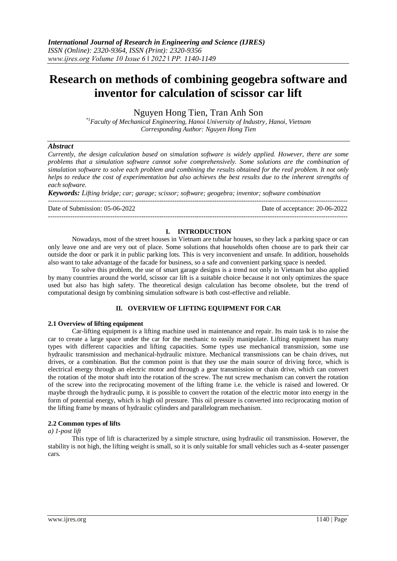Nguyen Hong Tien, Tran Anh Son

*\*1Faculty of Mechanical Engineering, Hanoi University of Industry, Hanoi, Vietnam Corresponding Author: Nguyen Hong Tien*

## *Abstract*

*Currently, the design calculation based on simulation software is widely applied. However, there are some problems that a simulation software cannot solve comprehensively. Some solutions are the combination of simulation software to solve each problem and combining the results obtained for the real problem. It not only helps to reduce the cost of experimentation but also achieves the best results due to the inherent strengths of each software.*

*Keywords: Lifting bridge; car; garage; scissor; software; geogebra; inventor; software combination*

--------------------------------------------------------------------------------------------------------------------------------------- Date of Submission: 05-06-2022 Date of acceptance: 20-06-2022 ---------------------------------------------------------------------------------------------------------------------------------------

# **I. INTRODUCTION**

Nowadays, most of the street houses in Vietnam are tubular houses, so they lack a parking space or can only leave one and are very out of place. Some solutions that households often choose are to park their car outside the door or park it in public parking lots. This is very inconvenient and unsafe. In addition, households also want to take advantage of the facade for business, so a safe and convenient parking space is needed.

To solve this problem, the use of smart garage designs is a trend not only in Vietnam but also applied by many countries around the world, scissor car lift is a suitable choice because it not only optimizes the space used but also has high safety. The theoretical design calculation has become obsolete, but the trend of computational design by combining simulation software is both cost-effective and reliable.

## **II. OVERVIEW OF LIFTING EQUIPMENT FOR CAR**

# **2.1 Overview of lifting equipment**

Car-lifting equipment is a lifting machine used in maintenance and repair. Its main task is to raise the car to create a large space under the car for the mechanic to easily manipulate. Lifting equipment has many types with different capacities and lifting capacities. Some types use mechanical transmission, some use hydraulic transmission and mechanical-hydraulic mixture. Mechanical transmissions can be chain drives, nut drives, or a combination. But the common point is that they use the main source of driving force, which is electrical energy through an electric motor and through a gear transmission or chain drive, which can convert the rotation of the motor shaft into the rotation of the screw. The nut screw mechanism can convert the rotation of the screw into the reciprocating movement of the lifting frame i.e. the vehicle is raised and lowered. Or maybe through the hydraulic pump, it is possible to convert the rotation of the electric motor into energy in the form of potential energy, which is high oil pressure. This oil pressure is converted into reciprocating motion of the lifting frame by means of hydraulic cylinders and parallelogram mechanism.

## **2.2 Common types of lifts**

## *a) 1-post lift*

This type of lift is characterized by a simple structure, using hydraulic oil transmission. However, the stability is not high, the lifting weight is small, so it is only suitable for small vehicles such as 4-seater passenger cars.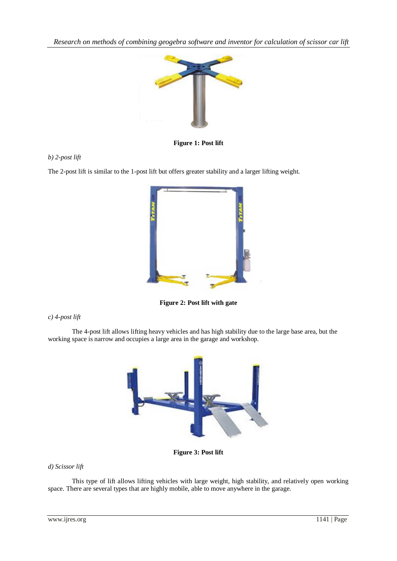

**Figure 1: Post lift**

# *b) 2-post lift*

The 2-post lift is similar to the 1-post lift but offers greater stability and a larger lifting weight.



**Figure 2: Post lift with gate**

*c) 4-post lift*

The 4-post lift allows lifting heavy vehicles and has high stability due to the large base area, but the working space is narrow and occupies a large area in the garage and workshop.



**Figure 3: Post lift** 

# *d) Scissor lift*

This type of lift allows lifting vehicles with large weight, high stability, and relatively open working space. There are several types that are highly mobile, able to move anywhere in the garage.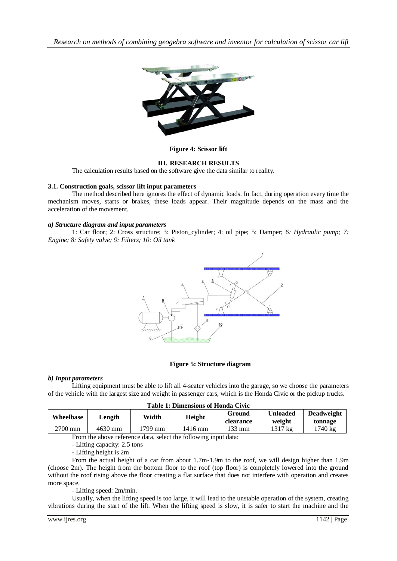

**Figure 4: Scissor lift**

# **III. RESEARCH RESULTS**

The calculation results based on the software give the data similar to reality.

## **3.1. Construction goals, scissor lift input parameters**

The method described here ignores the effect of dynamic loads. In fact, during operation every time the mechanism moves, starts or brakes, these loads appear. Their magnitude depends on the mass and the acceleration of the movement.

## *a) Structure diagram and input parameters*

1: Car floor; 2: Cross structure; 3: Piston\_cylinder; 4: oil pipe; 5: Damper; *6: Hydraulic pump; 7: Engine; 8: Safety valve; 9: Filters; 10: Oil tank*



#### **Figure 5: Structure diagram**

## *b) Input parameters*

Lifting equipment must be able to lift all 4-seater vehicles into the garage, so we choose the parameters of the vehicle with the largest size and weight in passenger cars, which is the Honda Civic or the pickup trucks.

|  | <b>Table 1: Dimensions of Honda Civic</b> |  |  |
|--|-------------------------------------------|--|--|
|--|-------------------------------------------|--|--|

| Wheelbase | Length  | Width   | Height  | Ground<br>clearance | Unloaded<br>weight | <b>Deadweight</b><br>tonnage |
|-----------|---------|---------|---------|---------------------|--------------------|------------------------------|
| $2700$ mm | 4630 mm | *799 mm | 1416 mm | 133 mm              | 1317 kg            | $1740 \text{ kg}$            |

From the above reference data, select the following input data:

- Lifting capacity: 2.5 tons

- Lifting height is 2m

From the actual height of a car from about 1.7m-1.9m to the roof, we will design higher than 1.9m (choose 2m). The height from the bottom floor to the roof (top floor) is completely lowered into the ground without the roof rising above the floor creating a flat surface that does not interfere with operation and creates more space.

- Lifting speed: 2m/min.

Usually, when the lifting speed is too large, it will lead to the unstable operation of the system, creating vibrations during the start of the lift. When the lifting speed is slow, it is safer to start the machine and the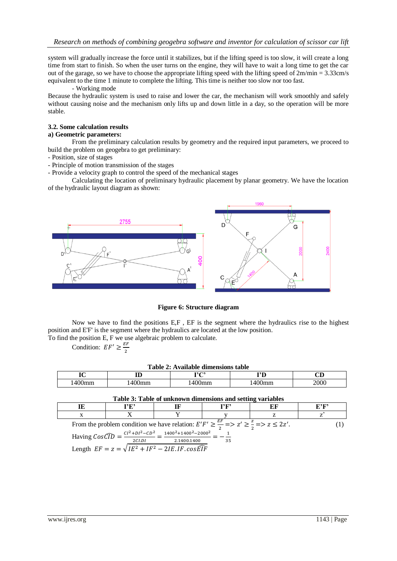system will gradually increase the force until it stabilizes, but if the lifting speed is too slow, it will create a long time from start to finish. So when the user turns on the engine, they will have to wait a long time to get the car out of the garage, so we have to choose the appropriate lifting speed with the lifting speed of  $2m/min = 3.33cm/s$ equivalent to the time 1 minute to complete the lifting. This time is neither too slow nor too fast.

#### - Working mode

Because the hydraulic system is used to raise and lower the car, the mechanism will work smoothly and safely without causing noise and the mechanism only lifts up and down little in a day, so the operation will be more stable.

## **3.2. Some calculation results**

# **a) Geometric parameters:**

From the preliminary calculation results by geometry and the required input parameters, we proceed to build the problem on geogebra to get preliminary:

- Position, size of stages
- Principle of motion transmission of the stages

- Provide a velocity graph to control the speed of the mechanical stages

Calculating the location of preliminary hydraulic placement by planar geometry. We have the location of the hydraulic layout diagram as shown:



# **Figure 6: Structure diagram**

Now we have to find the positions E,F , EF is the segment where the hydraulics rise to the highest position and E'F' is the segment where the hydraulics are located at the low position.

To find the position E, F we use algebraic problem to calculate.

Condition:  $EF' \geq \frac{E}{2}$  $\overline{\mathbf{c}}$ 

|  | Table 2: Available dimensions table |  |
|--|-------------------------------------|--|
|  |                                     |  |

| ТN<br>v           | ᅭ                  | $\mathbf{r}$ and $\mathbf{r}$ | <b>TAT</b>        | ~<br>ىت |
|-------------------|--------------------|-------------------------------|-------------------|---------|
| $\sqrt{2}$<br>пшп | $\Omega$<br>,,,,,, | лшп                           | $\sim$<br>,,,,,,, | 2000    |

| Table 3: Table of unknown dimensions and setting variables |                                                                                                                                                                                                                                                                         |             |      |    |      |
|------------------------------------------------------------|-------------------------------------------------------------------------------------------------------------------------------------------------------------------------------------------------------------------------------------------------------------------------|-------------|------|----|------|
| IE                                                         | 1'E'                                                                                                                                                                                                                                                                    |             | 1'F' | EF | E?F? |
|                                                            |                                                                                                                                                                                                                                                                         |             |      |    |      |
|                                                            | From the problem condition we have relation: $E'F' \ge \frac{EF}{2} = 2Z' \ge \frac{Z}{2} = 2Z'$ .<br>Having $CosCD = \frac{CI^2 + DI^2 - CD^2}{ID} = \frac{1400^2 + 1400^2 - 2000^2}{ID}$<br>2CLDI<br>Length $EF = z = \sqrt{IE^2 + IF^2 - 2IE \cdot IF \cdot cosEIF}$ | 2.1400.1400 | -35  |    |      |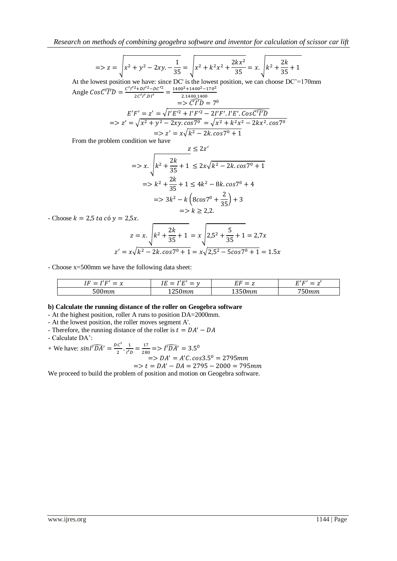$$
z = 2kx - \sqrt{x^2 + y^2 - 2xy - \frac{1}{35}} = \sqrt{x^2 + k^2x^2 + \frac{2kx^2}{35}} = x \cdot \sqrt{k^2 + \frac{2k}{35} + 1}
$$

At the lowest position we have: since DC' is the lowest position, we can choose  $DC' = 170$ mm Angle  $Cos(TTD) = \frac{C'I'^2 + DI'^2 - DC'}{2C/I' D'I}$  $\mathbf{1}$ 

$$
E'F' = z' = \sqrt{I'E'^2 + I'F'^2 - 2I'F'.I'E'.\cos C'T'D}
$$
  
=>z' =  $\sqrt{x^2 + y^2 - 2xy.\cos 7^\circ} = \sqrt{x^2 + k^2x^2 - 2kx^2.\cos 7^\circ}$   
=>z' =  $x\sqrt{k^2 - 2k.\cos 7^\circ + 1}$ 

From the problem condition we have

$$
z \le 2z'
$$
  
=>x.  $\sqrt{k^2 + \frac{2k}{35} + 1} \le 2x\sqrt{k^2 - 2k \cdot \cos 7^\circ + 1}$   
=>x<sup>2</sup> +  $\frac{2k}{35}$  + 1  $\le 4k^2 - 8k \cdot \cos 7^\circ + 4$   
=x<sup>2</sup> +  $\frac{2k}{35}$  + 1  $\le 4k^2 - 8k \cdot \cos 7^\circ + 4$   
=x<sup>2</sup> +  $\frac{2}{35}$  + 3  
=x<sup>2</sup> + 2 $\le 2,2$ .

- Choose  $k = 2.5$  ta có  $y = 2.5x$ .

$$
z = x.\sqrt{k^2 + \frac{2k}{35} + 1} = x\sqrt{2.5^2 + \frac{5}{35} + 1} = 2.7x
$$
  

$$
z' = x\sqrt{k^2 - 2k.\cos 7^0 + 1} = x\sqrt{2.5^2 - 5\cos 7^0 + 1} = 1.5x
$$

- Choose x=500mm we have the following data sheet:

| 71 T.<br>חי<br>$\overline{\phantom{a}}$<br>∼<br>. . | $\mathbf{r}$<br>--<br>_<br>- |                               | H/H<br>–<br>–<br>.,    |
|-----------------------------------------------------|------------------------------|-------------------------------|------------------------|
| rac<br>.                                            | 11111                        | $\sim$ $\sim$ $\sim$<br>,,,,, | --<br>$-2200$<br>,,,,, |

#### **b) Calculate the running distance of the roller on Geogebra software**

- At the highest position, roller A runs to position DA=2000mm.
- At the lowest position, the roller moves segment A'.
- Therefore, the running distance of the roller is  $t = DA'$

- Calculate DA':

+ We have: 
$$
\sin \sqrt{T} \overline{D} \overline{A'} = \frac{DC'}{2} \cdot \frac{1}{1'D} = \frac{17}{280} \Rightarrow \sqrt{T} \overline{D} \overline{A'} = 3.5^{\circ}
$$

$$
=>DA' = A'C \cdot cos 3.5^{\circ} = 2795 \, mm
$$

$$
=> t = DA' - DA = 2795 - 2000 = 795 mm
$$

We proceed to build the problem of position and motion on Geogebra software.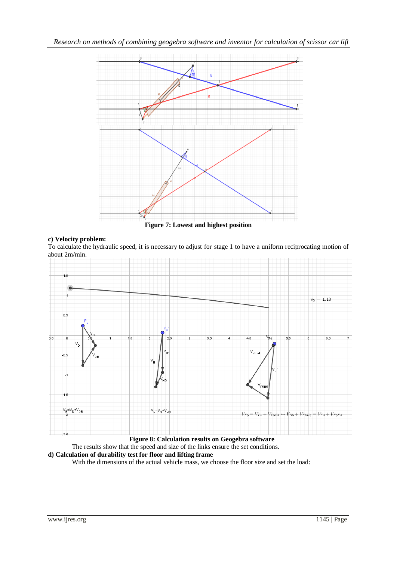

# **c) Velocity problem:**

To calculate the hydraulic speed, it is necessary to adjust for stage 1 to have a uniform reciprocating motion of about 2m/min.



 **Figure 8: Calculation results on Geogebra software**

The results show that the speed and size of the links ensure the set conditions.

# **d) Calculation of durability test for floor and lifting frame**

With the dimensions of the actual vehicle mass, we choose the floor size and set the load: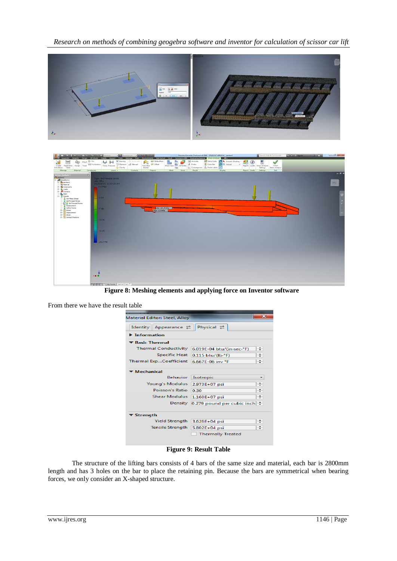



 **Figure 8: Meshing elements and applying force on Inventor software**

From there we have the result table

| Material Editor: Steel, Alloy                    |                               | $\mathbf{x}$ |
|--------------------------------------------------|-------------------------------|--------------|
| Appearance $\rightleftarrows$<br><b>Identity</b> | Physical $\rightleftarrows$   |              |
| $\blacktriangleright$ Information                |                               |              |
| ▼ Basic Thermal                                  |                               |              |
| <b>Thermal Conductivity</b>                      | 6.019E-04 btu/(in-sec-°F)     | ÷            |
| <b>Specific Heat</b>                             | $0.115$ btu/(lb. $\degree$ F) | ÷            |
| Thermal ExpCoefficient                           | 6.667E-06 inv °F              | ÷            |
| Mechanical                                       |                               |              |
| <b>Behavior</b>                                  | Isotropic                     |              |
| <b>Young's Modulus</b>                           | 2.973E+07 psi                 | ≑            |
| Poisson's Ratio                                  | 0.30                          | ÷            |
| <b>Shear Modulus</b>                             | $1.160E + 07$ psi             | ÷            |
| Density                                          | 0.279 pound per cubic inch    | ÷            |
| ▼ Strength                                       |                               |              |
| <b>Yield Strength</b>                            | 3.626E+04 psi                 | ÷            |
| <b>Tensile Strength</b>                          | $5.802E + 04$ psi             | ÷            |
|                                                  | <b>Thermally Treated</b>      |              |
|                                                  |                               |              |

**Figure 9: Result Table**

The structure of the lifting bars consists of 4 bars of the same size and material, each bar is 2800mm length and has 3 holes on the bar to place the retaining pin. Because the bars are symmetrical when bearing forces, we only consider an X-shaped structure.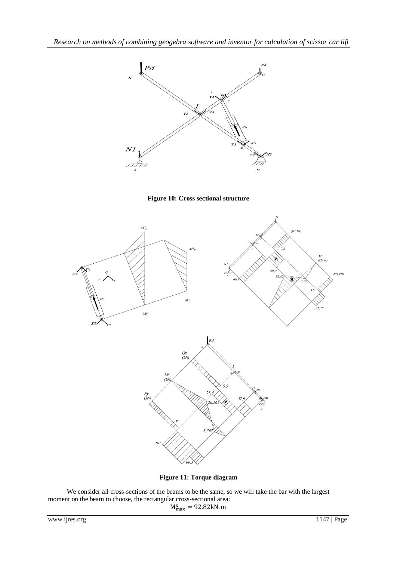





**Figure 11: Torque diagram**

We consider all cross-sections of the beams to be the same, so we will take the bar with the largest moment on the beam to choose, the rectangular cross-sectional area:  $M_n^x$ 

www.ijres.org 1147 | Page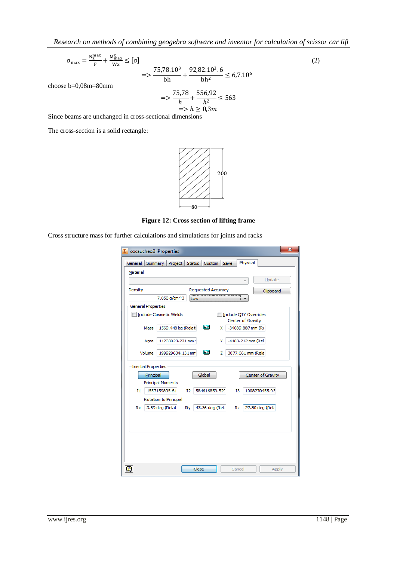$$
\sigma_{\text{max}} = \frac{N_Z^{\text{max}}}{F} + \frac{M_{\text{max}}^{\text{x}}}{W_X} \le [\sigma]
$$
\n
$$
75,78.10^3 \quad 92,82.10^3.6 \tag{2}
$$

$$
=> \frac{75,78.10^3}{bh} + \frac{92,82.10^3.6}{bh^2} \le 6,7.10^6
$$

choose b=0,08m=80mm

$$
=> \frac{75,78}{h} + \frac{556,92}{h^2} \le 563
$$
  
=> h ≥ 0,3m

Since beams are unchanged in cross-sectional dimensions

The cross-section is a solid rectangle:



**Figure 12: Cross section of lifting frame**

Cross structure mass for further calculations and simulations for joints and racks

| cocaucheo2 iProperties        |                                                         | $\mathbf{x}$ |
|-------------------------------|---------------------------------------------------------|--------------|
| General<br>Summary            | Physical<br><b>Status</b><br>Project<br>Custom<br>Save  |              |
| Material                      |                                                         |              |
|                               | Update                                                  |              |
| Density                       | Requested Accuracy<br>Clipboard                         |              |
| 7.850 g/cm^3                  | .ow                                                     |              |
| <b>General Properties</b>     |                                                         |              |
| <b>Include Cosmetic Welds</b> | Include QTY Overrides<br>Center of Gravity              |              |
| Mass                          | 區<br>1569.448 kg (Relat<br>-34089.887 mm (Re<br>x       |              |
|                               |                                                         |              |
| Area                          | 11233023.231 mm <sup>2</sup><br>-4183.212 mm (Reli<br>Y |              |
| Volume                        | 圖<br>199929634.131 mm<br>z<br>3077.661 mm (Rela         |              |
| <b>Inertial Properties</b>    |                                                         |              |
| Principal                     | Global<br>Center of Gravity                             |              |
| <b>Principal Moments</b>      |                                                         |              |
| 1557159805.61<br>11           | 584616859.529<br>1008270455.93<br>12<br>13              |              |
| Rotation to Principal         |                                                         |              |
| 3.59 deg (Relat<br>Rx         | 27.80 deg (Rela<br>43.36 deg (Rela<br>Ry<br>Rz          |              |
|                               |                                                         |              |
|                               |                                                         |              |
|                               |                                                         |              |
|                               |                                                         |              |
|                               |                                                         |              |
| 2                             | Close<br>Cancel                                         | Apply        |